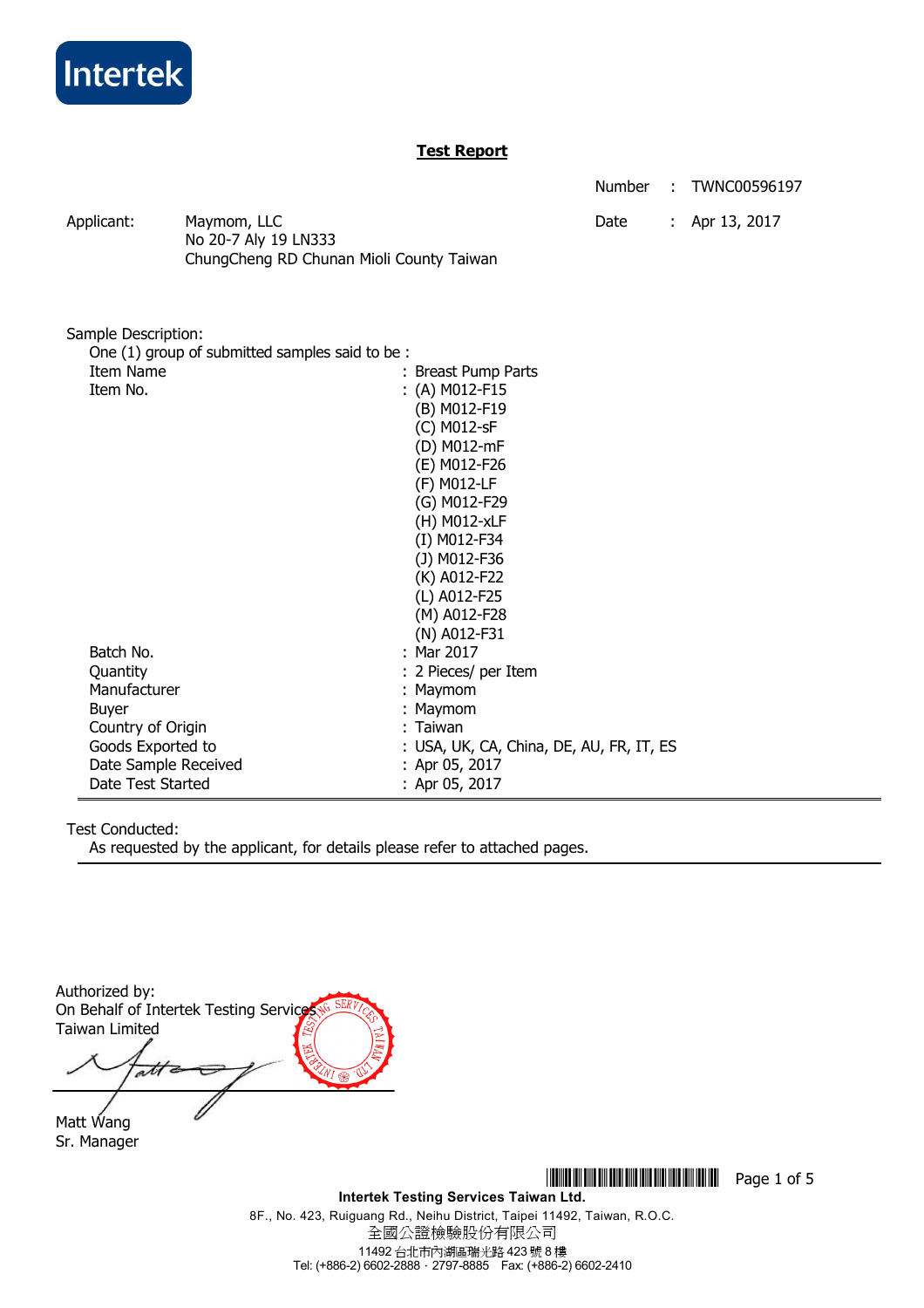

## **Test Report**

Number : TWNC00596197

Applicant: Maymom, LLC Date : Apr 13, 2017 No 20-7 Aly 19 LN333 ChungCheng RD Chunan Mioli County Taiwan

| Sample Description:                            |                                          |
|------------------------------------------------|------------------------------------------|
| One (1) group of submitted samples said to be: |                                          |
| Item Name                                      | : Breast Pump Parts                      |
| Item No.                                       | : (A) M012-F15                           |
|                                                | (B) M012-F19                             |
|                                                | (C) M012-sF                              |
|                                                | (D) M012-mF                              |
|                                                | (E) M012-F26                             |
|                                                | (F) M012-LF                              |
|                                                | (G) M012-F29                             |
|                                                | (H) M012-xLF                             |
|                                                | (I) M012-F34                             |
|                                                | (J) M012-F36                             |
|                                                | (K) A012-F22                             |
|                                                | (L) A012-F25                             |
|                                                | (M) A012-F28                             |
|                                                | (N) A012-F31                             |
| Batch No.                                      | : Mar 2017                               |
| Quantity                                       | : 2 Pieces/ per Item                     |
| Manufacturer                                   | : Maymom                                 |
| Buyer                                          | Maymom                                   |
| Country of Origin                              | : Taiwan                                 |
| Goods Exported to                              | : USA, UK, CA, China, DE, AU, FR, IT, ES |
| Date Sample Received                           | : Apr 05, 2017                           |
| Date Test Started                              | : Apr 05, 2017                           |

## Test Conducted:

As requested by the applicant, for details please refer to attached pages.

Authorized by: On Behalf of Intertek Testing Service Taiwan Limited att

Matt Wang Sr. Manager

\*THJ0596197\* Page 1 of 5

**Intertek Testing Services Taiwan Ltd.**  8F., No. 423, Ruiguang Rd., Neihu District, Taipei 11492, Taiwan, R.O.C. 全國公證檢驗股份有限公司 11492 台北市內湖區瑞光路 423 號 8 樓 Tel: (+886-2) 6602-2888.2797-8885 Fax: (+886-2) 6602-2410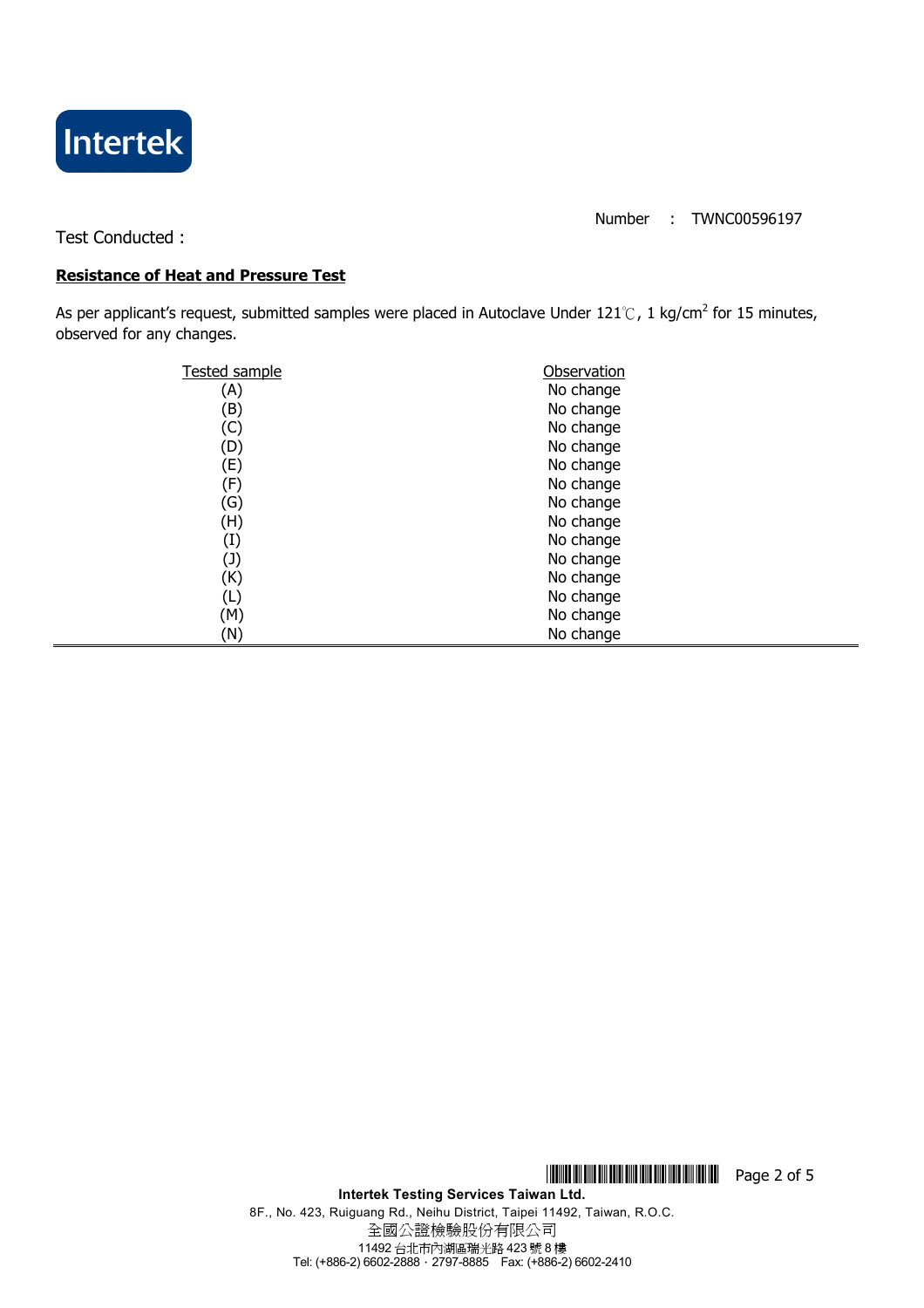

Number : TWNC00596197

Test Conducted :

## **Resistance of Heat and Pressure Test**

As per applicant's request, submitted samples were placed in Autoclave Under 121℃, 1 kg/cm<sup>2</sup> for 15 minutes, observed for any changes.

| <b>Tested sample</b> | Observation |
|----------------------|-------------|
| A)                   | No change   |
| (B)                  | No change   |
| C)                   | No change   |
| (D)                  | No change   |
| (E)                  | No change   |
| (F)                  | No change   |
| (G)                  | No change   |
| (H)                  | No change   |
| (I)                  | No change   |
| (J)                  | No change   |
| (K)                  | No change   |
| L)                   | No change   |
| (M)                  | No change   |
| (N)                  | No change   |

\*THJ0596197\* Page 2 of 5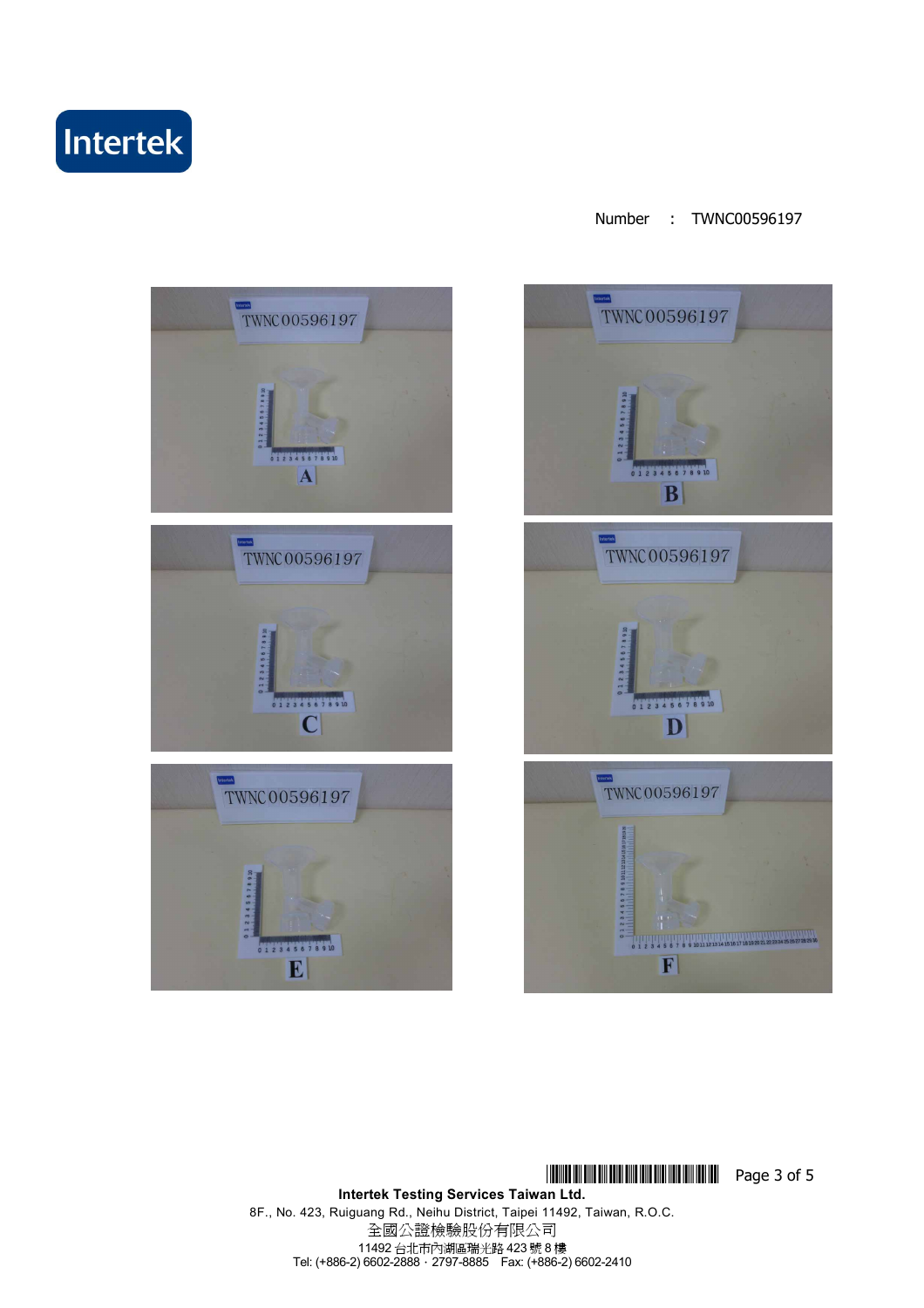





**THEFT RETURNS IN THE RESERVE SET OF 5 Intertek Testing Services Taiwan Ltd.**  8F., No. 423, Ruiguang Rd., Neihu District, Taipei 11492, Taiwan, R.O.C. 全國公證檢驗股份有限公司 11492 台北市內湖區瑞光路 423 號 8 樓 Tel: (+886-2) 6602-2888.2797-8885 Fax: (+886-2) 6602-2410

### Number : TWNC00596197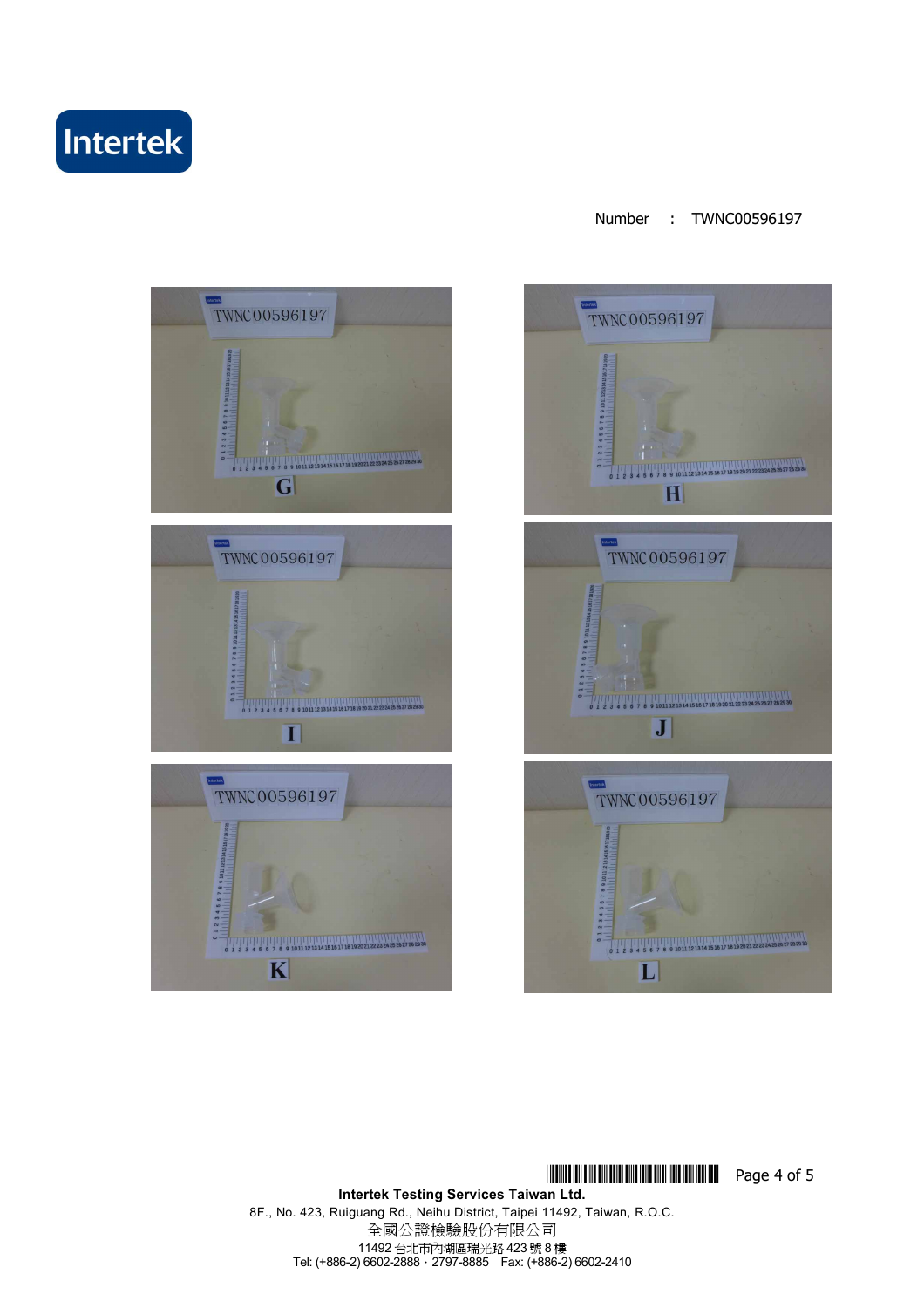# Intertek

### Number : TWNC00596197





**THEFT RETURNS IN THE RESERVE AND RESERVE ASSESSED AT LACK AND RESERVE ASSESSED AT LACK AND RESPONDEN** 

**Intertek Testing Services Taiwan Ltd.**  8F., No. 423, Ruiguang Rd., Neihu District, Taipei 11492, Taiwan, R.O.C. 全國公證檢驗股份有限公司 11492 台北市內湖區瑞光路 423 號 8 樓 Tel: (+886-2) 6602-2888.2797-8885 Fax: (+886-2) 6602-2410